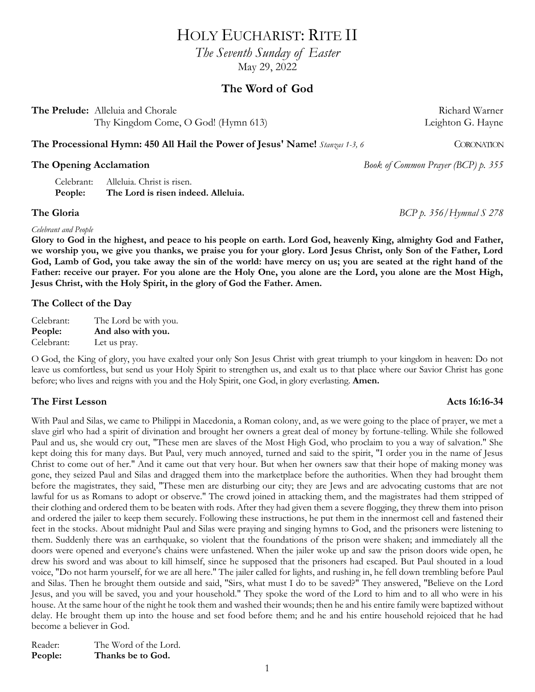HOLY EUCHARIST: RITE II

*The Seventh Sunday of Easter* May 29, 2022

# **The Word of God**

**The Prelude:** Alleluia and Chorale Richard Warner Richard Warner Richard Warner Thy Kingdom Come, O God! (Hymn 613) Leighton G. Hayne

**The Processional Hymn: 450 All Hail the Power of Jesus' Name!** *Stanzas 1-3, 6* CORONATION

# **The Opening Acclamation** *Book of Common Prayer (BCP) p. 355*

| People:    | The Lord is risen indeed. Alleluia. |
|------------|-------------------------------------|
| Celebrant: | Alleluia. Christ is risen.          |

*Celebrant and People*

**Glory to God in the highest, and peace to his people on earth. Lord God, heavenly King, almighty God and Father, we worship you, we give you thanks, we praise you for your glory. Lord Jesus Christ, only Son of the Father, Lord**  God, Lamb of God, you take away the sin of the world: have mercy on us; you are seated at the right hand of the **Father: receive our prayer. For you alone are the Holy One, you alone are the Lord, you alone are the Most High, Jesus Christ, with the Holy Spirit, in the glory of God the Father. Amen.**

# **The Collect of the Day**

Celebrant: The Lord be with you. **People: And also with you.** Celebrant: Let us pray.

O God, the King of glory, you have exalted your only Son Jesus Christ with great triumph to your kingdom in heaven: Do not leave us comfortless, but send us your Holy Spirit to strengthen us, and exalt us to that place where our Savior Christ has gone before; who lives and reigns with you and the Holy Spirit, one God, in glory everlasting. **Amen.**

# **The First Lesson Acts 16:16-34**

With Paul and Silas, we came to Philippi in Macedonia, a Roman colony, and, as we were going to the place of prayer, we met a slave girl who had a spirit of divination and brought her owners a great deal of money by fortune-telling. While she followed Paul and us, she would cry out, "These men are slaves of the Most High God, who proclaim to you a way of salvation." She kept doing this for many days. But Paul, very much annoyed, turned and said to the spirit, "I order you in the name of Jesus Christ to come out of her." And it came out that very hour. But when her owners saw that their hope of making money was gone, they seized Paul and Silas and dragged them into the marketplace before the authorities. When they had brought them before the magistrates, they said, "These men are disturbing our city; they are Jews and are advocating customs that are not lawful for us as Romans to adopt or observe." The crowd joined in attacking them, and the magistrates had them stripped of their clothing and ordered them to be beaten with rods. After they had given them a severe flogging, they threw them into prison and ordered the jailer to keep them securely. Following these instructions, he put them in the innermost cell and fastened their feet in the stocks. About midnight Paul and Silas were praying and singing hymns to God, and the prisoners were listening to them. Suddenly there was an earthquake, so violent that the foundations of the prison were shaken; and immediately all the doors were opened and everyone's chains were unfastened. When the jailer woke up and saw the prison doors wide open, he drew his sword and was about to kill himself, since he supposed that the prisoners had escaped. But Paul shouted in a loud voice, "Do not harm yourself, for we are all here." The jailer called for lights, and rushing in, he fell down trembling before Paul and Silas. Then he brought them outside and said, "Sirs, what must I do to be saved?" They answered, "Believe on the Lord Jesus, and you will be saved, you and your household." They spoke the word of the Lord to him and to all who were in his house. At the same hour of the night he took them and washed their wounds; then he and his entire family were baptized without delay. He brought them up into the house and set food before them; and he and his entire household rejoiced that he had become a believer in God.

Reader: The Word of the Lord. **People: Thanks be to God.**

# **The Gloria** *BCP p. 356/Hymnal S 278*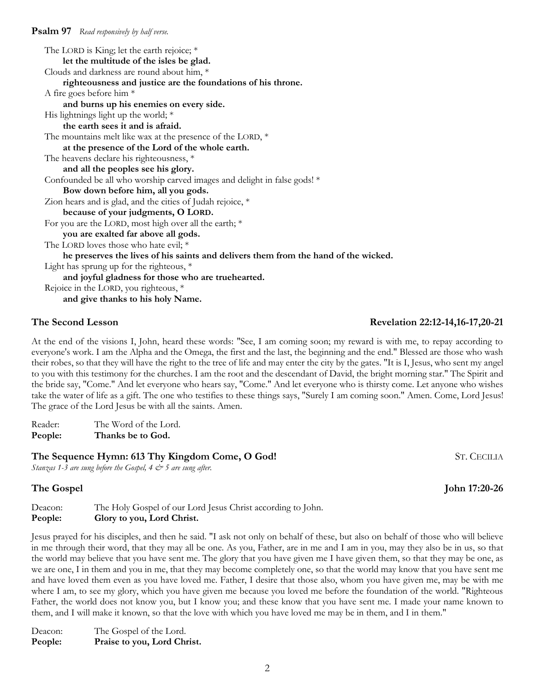## **Psalm 97** *Read responsively by half verse.*

The LORD is King; let the earth rejoice; \* **let the multitude of the isles be glad.** Clouds and darkness are round about him, \* **righteousness and justice are the foundations of his throne.** A fire goes before him \* **and burns up his enemies on every side.** His lightnings light up the world; \* **the earth sees it and is afraid.** The mountains melt like wax at the presence of the LORD, \* **at the presence of the Lord of the whole earth.** The heavens declare his righteousness, \* **and all the peoples see his glory.** Confounded be all who worship carved images and delight in false gods! \* **Bow down before him, all you gods.** Zion hears and is glad, and the cities of Judah rejoice, \* **because of your judgments, O LORD.** For you are the LORD, most high over all the earth;  $*$ **you are exalted far above all gods.** The LORD loves those who hate evil;  $*$ **he preserves the lives of his saints and delivers them from the hand of the wicked.** Light has sprung up for the righteous, \* **and joyful gladness for those who are truehearted.** Rejoice in the LORD, you righteous, \* **and give thanks to his holy Name.**

## **The Second Lesson Revelation 22:12-14,16-17,20-21**

At the end of the visions I, John, heard these words: "See, I am coming soon; my reward is with me, to repay according to everyone's work. I am the Alpha and the Omega, the first and the last, the beginning and the end." Blessed are those who wash their robes, so that they will have the right to the tree of life and may enter the city by the gates. "It is I, Jesus, who sent my angel to you with this testimony for the churches. I am the root and the descendant of David, the bright morning star." The Spirit and the bride say, "Come." And let everyone who hears say, "Come." And let everyone who is thirsty come. Let anyone who wishes take the water of life as a gift. The one who testifies to these things says, "Surely I am coming soon." Amen. Come, Lord Jesus! The grace of the Lord Jesus be with all the saints. Amen.

Reader: The Word of the Lord. **People: Thanks be to God.**

## **The Sequence Hymn: 613 Thy Kingdom Come, O God!** ST. CECILIA

*Stanzas 1-3 are sung before the Gospel, 4 & 5 are sung after.*

Deacon: The Holy Gospel of our Lord Jesus Christ according to John. **People: Glory to you, Lord Christ.**

Jesus prayed for his disciples, and then he said. "I ask not only on behalf of these, but also on behalf of those who will believe in me through their word, that they may all be one. As you, Father, are in me and I am in you, may they also be in us, so that the world may believe that you have sent me. The glory that you have given me I have given them, so that they may be one, as we are one, I in them and you in me, that they may become completely one, so that the world may know that you have sent me and have loved them even as you have loved me. Father, I desire that those also, whom you have given me, may be with me where I am, to see my glory, which you have given me because you loved me before the foundation of the world. "Righteous Father, the world does not know you, but I know you; and these know that you have sent me. I made your name known to them, and I will make it known, so that the love with which you have loved me may be in them, and I in them."

Deacon: The Gospel of the Lord. **People: Praise to you, Lord Christ.**

## **The Gospel John 17:20-26**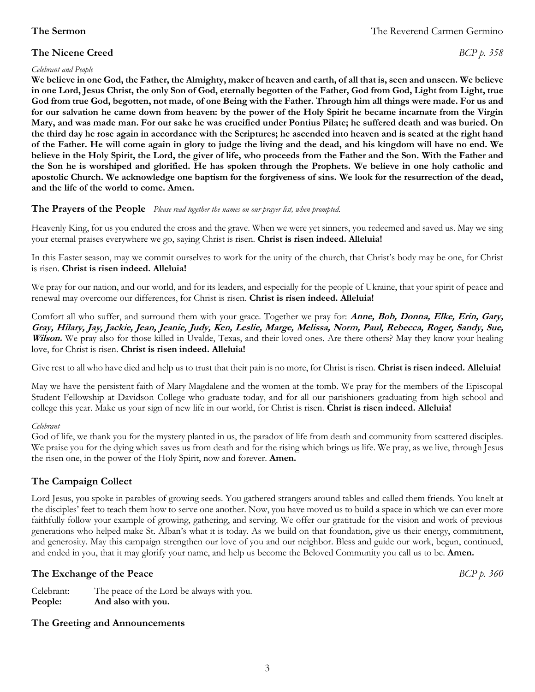## **The Nicene Creed** *BCP p. 358*

**We believe in one God, the Father, the Almighty, maker of heaven and earth, of all that is, seen and unseen. We believe in one Lord, Jesus Christ, the only Son of God, eternally begotten of the Father, God from God, Light from Light, true God from true God, begotten, not made, of one Being with the Father. Through him all things were made. For us and for our salvation he came down from heaven: by the power of the Holy Spirit he became incarnate from the Virgin Mary, and was made man. For our sake he was crucified under Pontius Pilate; he suffered death and was buried. On the third day he rose again in accordance with the Scriptures; he ascended into heaven and is seated at the right hand of the Father. He will come again in glory to judge the living and the dead, and his kingdom will have no end. We believe in the Holy Spirit, the Lord, the giver of life, who proceeds from the Father and the Son. With the Father and the Son he is worshiped and glorified. He has spoken through the Prophets. We believe in one holy catholic and apostolic Church. We acknowledge one baptism for the forgiveness of sins. We look for the resurrection of the dead, and the life of the world to come. Amen.**

## **The Prayers of the People** *Please read together the names on our prayer list, when prompted.*

Heavenly King, for us you endured the cross and the grave. When we were yet sinners, you redeemed and saved us. May we sing your eternal praises everywhere we go, saying Christ is risen. **Christ is risen indeed. Alleluia!**

In this Easter season, may we commit ourselves to work for the unity of the church, that Christ's body may be one, for Christ is risen. **Christ is risen indeed. Alleluia!**

We pray for our nation, and our world, and for its leaders, and especially for the people of Ukraine, that your spirit of peace and renewal may overcome our differences, for Christ is risen. **Christ is risen indeed. Alleluia!**

Comfort all who suffer, and surround them with your grace. Together we pray for: **Anne, Bob, Donna, Elke, Erin, Gary, Gray, Hilary, Jay, Jackie, Jean, Jeanie, Judy, Ken, Leslie, Marge, Melissa, Norm, Paul, Rebecca, Roger, Sandy, Sue, Wilson.** We pray also for those killed in Uvalde, Texas, and their loved ones. Are there others? May they know your healing love, for Christ is risen. **Christ is risen indeed. Alleluia!**

Give rest to all who have died and help us to trust that their pain is no more, for Christ is risen. **Christ is risen indeed. Alleluia!**

May we have the persistent faith of Mary Magdalene and the women at the tomb. We pray for the members of the Episcopal Student Fellowship at Davidson College who graduate today, and for all our parishioners graduating from high school and college this year. Make us your sign of new life in our world, for Christ is risen. **Christ is risen indeed. Alleluia!** 

## *Celebrant*

God of life, we thank you for the mystery planted in us, the paradox of life from death and community from scattered disciples. We praise you for the dying which saves us from death and for the rising which brings us life. We pray, as we live, through Jesus the risen one, in the power of the Holy Spirit, now and forever. **Amen.**

# **The Campaign Collect**

Lord Jesus, you spoke in parables of growing seeds. You gathered strangers around tables and called them friends. You knelt at the disciples' feet to teach them how to serve one another. Now, you have moved us to build a space in which we can ever more faithfully follow your example of growing, gathering, and serving. We offer our gratitude for the vision and work of previous generations who helped make St. Alban's what it is today. As we build on that foundation, give us their energy, commitment, and generosity. May this campaign strengthen our love of you and our neighbor. Bless and guide our work, begun, continued, and ended in you, that it may glorify your name, and help us become the Beloved Community you call us to be. **Amen.**

## **The Exchange of the Peace** *BCP p. 360*

Celebrant: The peace of the Lord be always with you. **People: And also with you.** 

## **The Greeting and Announcements**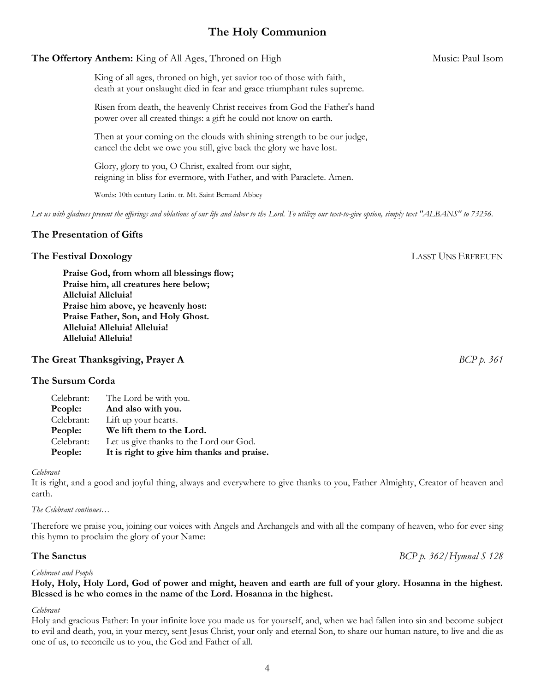# **The Holy Communion**

**The Offertory Anthem:** King of All Ages, Throned on High Music: Paul Isom

King of all ages, throned on high, yet savior too of those with faith, death at your onslaught died in fear and grace triumphant rules supreme.

Risen from death, the heavenly Christ receives from God the Father's hand power over all created things: a gift he could not know on earth.

Then at your coming on the clouds with shining strength to be our judge, cancel the debt we owe you still, give back the glory we have lost.

Glory, glory to you, O Christ, exalted from our sight, reigning in bliss for evermore, with Father, and with Paraclete. Amen.

Words: 10th century Latin. tr. Mt. Saint Bernard Abbey

*Let us with gladness present the offerings and oblations of our life and labor to the Lord. To utilize our text-to-give option, simply text "ALBANS" to 73256.*

## **The Presentation of Gifts**

## **The Festival Doxology** LASST UNS ERFREUEN

**Praise God, from whom all blessings flow; Praise him, all creatures here below; Alleluia! Alleluia! Praise him above, ye heavenly host: Praise Father, Son, and Holy Ghost. Alleluia! Alleluia! Alleluia! Alleluia! Alleluia!**

## **The Great Thanksgiving, Prayer A** *BCP p. 361*

## **The Sursum Corda**

| Celebrant: | The Lord be with you.                      |
|------------|--------------------------------------------|
| People:    | And also with you.                         |
| Celebrant: | Lift up your hearts.                       |
| People:    | We lift them to the Lord.                  |
| Celebrant: | Let us give thanks to the Lord our God.    |
| People:    | It is right to give him thanks and praise. |

### *Celebrant*

It is right, and a good and joyful thing, always and everywhere to give thanks to you, Father Almighty, Creator of heaven and earth.

### *The Celebrant continues…*

Therefore we praise you, joining our voices with Angels and Archangels and with all the company of heaven, who for ever sing this hymn to proclaim the glory of your Name:

### **The Sanctus** *BCP p. 362/Hymnal S 128*

## *Celebrant and People*

### **Holy, Holy, Holy Lord, God of power and might, heaven and earth are full of your glory. Hosanna in the highest. Blessed is he who comes in the name of the Lord. Hosanna in the highest.**

### *Celebrant*

Holy and gracious Father: In your infinite love you made us for yourself, and, when we had fallen into sin and become subject to evil and death, you, in your mercy, sent Jesus Christ, your only and eternal Son, to share our human nature, to live and die as one of us, to reconcile us to you, the God and Father of all.

4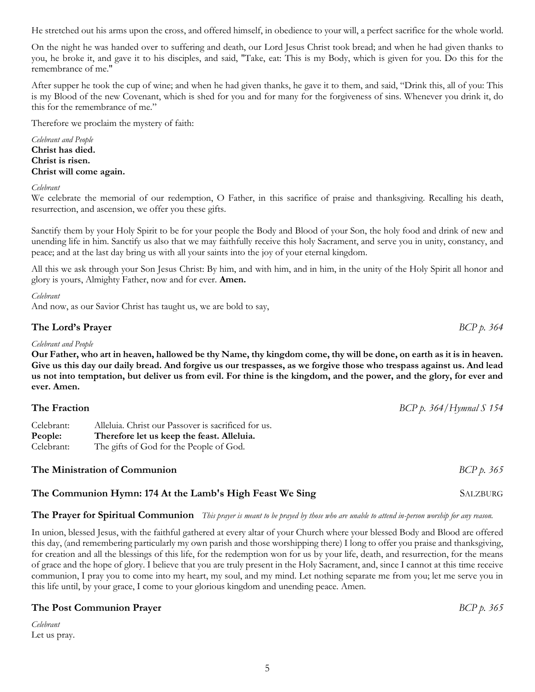5

He stretched out his arms upon the cross, and offered himself, in obedience to your will, a perfect sacrifice for the whole world.

On the night he was handed over to suffering and death, our Lord Jesus Christ took bread; and when he had given thanks to you, he broke it, and gave it to his disciples, and said, "Take, eat: This is my Body, which is given for you. Do this for the remembrance of me."

After supper he took the cup of wine; and when he had given thanks, he gave it to them, and said, "Drink this, all of you: This is my Blood of the new Covenant, which is shed for you and for many for the forgiveness of sins. Whenever you drink it, do this for the remembrance of me."

Therefore we proclaim the mystery of faith:

*Celebrant and People* **Christ has died. Christ is risen. Christ will come again.**

*Celebrant*

We celebrate the memorial of our redemption, O Father, in this sacrifice of praise and thanksgiving. Recalling his death, resurrection, and ascension, we offer you these gifts.

Sanctify them by your Holy Spirit to be for your people the Body and Blood of your Son, the holy food and drink of new and unending life in him. Sanctify us also that we may faithfully receive this holy Sacrament, and serve you in unity, constancy, and peace; and at the last day bring us with all your saints into the joy of your eternal kingdom.

All this we ask through your Son Jesus Christ: By him, and with him, and in him, in the unity of the Holy Spirit all honor and glory is yours, Almighty Father, now and for ever. **Amen.**

## *Celebrant*

And now, as our Savior Christ has taught us, we are bold to say,

## **The Lord's Prayer** *BCP p. 364*

## *Celebrant and People*

**Our Father, who art in heaven, hallowed be thy Name, thy kingdom come, thy will be done, on earth as it is in heaven. Give us this day our daily bread. And forgive us our trespasses, as we forgive those who trespass against us. And lead us not into temptation, but deliver us from evil. For thine is the kingdom, and the power, and the glory, for ever and ever. Amen.** 

| The Fraction                        |                                                                                                                                              | BCP p. $364/H$ ymnal S 154 |
|-------------------------------------|----------------------------------------------------------------------------------------------------------------------------------------------|----------------------------|
| Celebrant:<br>People:<br>Celebrant: | Alleluia. Christ our Passover is sacrificed for us.<br>Therefore let us keep the feast. Alleluia.<br>The gifts of God for the People of God. |                            |

## **The Ministration of Communion** *BCP p. 365*

# **The Communion Hymn: 174 At the Lamb's High Feast We Sing SALZBURG SALZBURG**

## **The Prayer for Spiritual Communion** *This prayer is meant to be prayed by those who are unable to attend in-person worship for any reason.*

In union, blessed Jesus, with the faithful gathered at every altar of your Church where your blessed Body and Blood are offered this day, (and remembering particularly my own parish and those worshipping there) I long to offer you praise and thanksgiving, for creation and all the blessings of this life, for the redemption won for us by your life, death, and resurrection, for the means of grace and the hope of glory. I believe that you are truly present in the Holy Sacrament, and, since I cannot at this time receive communion, I pray you to come into my heart, my soul, and my mind. Let nothing separate me from you; let me serve you in this life until, by your grace, I come to your glorious kingdom and unending peace. Amen.

## **The Post Communion Prayer** *BCP p. 365*

*Celebrant* Let us pray.